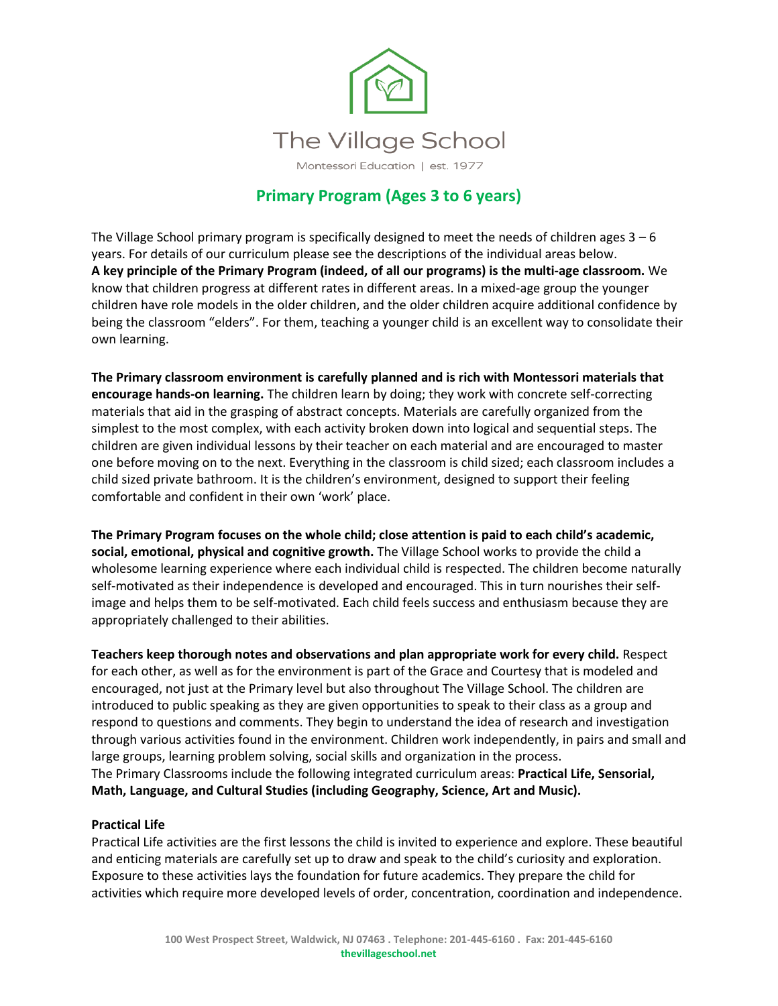

# **Primary Program (Ages 3 to 6 years)**

The Village School primary program is specifically designed to meet the needs of children ages  $3 - 6$ years. For details of our curriculum please see the descriptions of the individual areas below. **A key principle of the Primary Program (indeed, of all our programs) is the multi-age classroom.** We know that children progress at different rates in different areas. In a mixed-age group the younger children have role models in the older children, and the older children acquire additional confidence by being the classroom "elders". For them, teaching a younger child is an excellent way to consolidate their own learning.

**The Primary classroom environment is carefully planned and is rich with Montessori materials that encourage hands-on learning.** The children learn by doing; they work with concrete self-correcting materials that aid in the grasping of abstract concepts. Materials are carefully organized from the simplest to the most complex, with each activity broken down into logical and sequential steps. The children are given individual lessons by their teacher on each material and are encouraged to master one before moving on to the next. Everything in the classroom is child sized; each classroom includes a child sized private bathroom. It is the children's environment, designed to support their feeling comfortable and confident in their own 'work' place.

**The Primary Program focuses on the whole child; close attention is paid to each child's academic, social, emotional, physical and cognitive growth.** The Village School works to provide the child a wholesome learning experience where each individual child is respected. The children become naturally self-motivated as their independence is developed and encouraged. This in turn nourishes their selfimage and helps them to be self-motivated. Each child feels success and enthusiasm because they are appropriately challenged to their abilities.

**Teachers keep thorough notes and observations and plan appropriate work for every child.** Respect for each other, as well as for the environment is part of the Grace and Courtesy that is modeled and encouraged, not just at the Primary level but also throughout The Village School. The children are introduced to public speaking as they are given opportunities to speak to their class as a group and respond to questions and comments. They begin to understand the idea of research and investigation through various activities found in the environment. Children work independently, in pairs and small and large groups, learning problem solving, social skills and organization in the process. The Primary Classrooms include the following integrated curriculum areas: **Practical Life, Sensorial, Math, Language, and Cultural Studies (including Geography, Science, Art and Music).**

## **Practical Life**

Practical Life activities are the first lessons the child is invited to experience and explore. These beautiful and enticing materials are carefully set up to draw and speak to the child's curiosity and exploration. Exposure to these activities lays the foundation for future academics. They prepare the child for activities which require more developed levels of order, concentration, coordination and independence.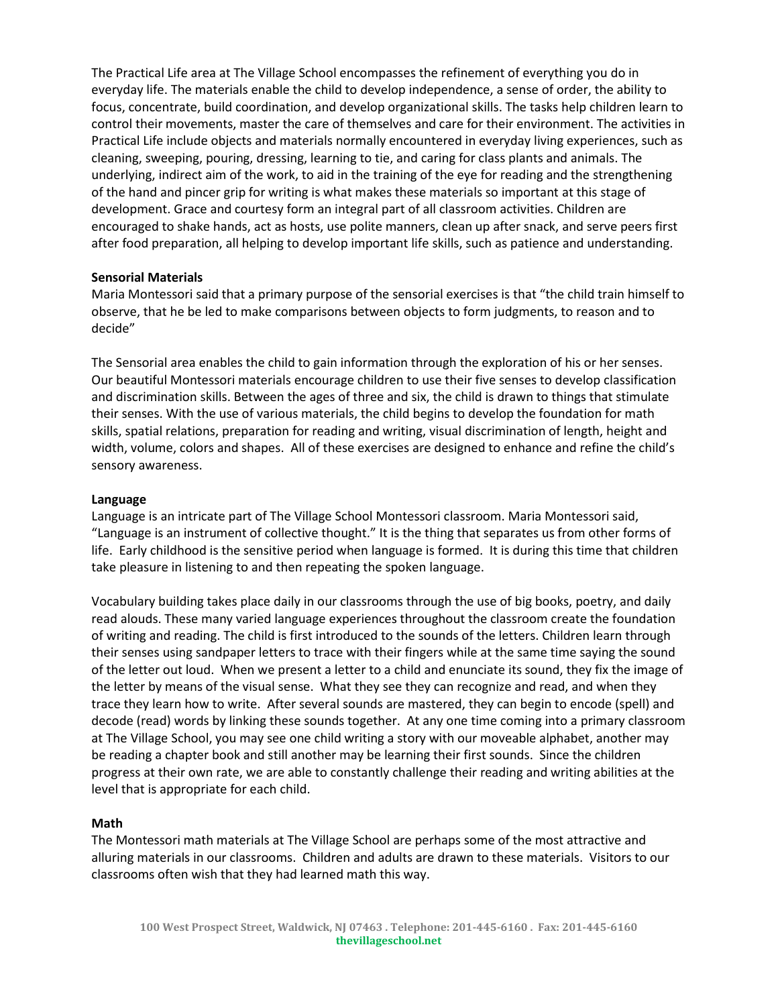The Practical Life area at The Village School encompasses the refinement of everything you do in everyday life. The materials enable the child to develop independence, a sense of order, the ability to focus, concentrate, build coordination, and develop organizational skills. The tasks help children learn to control their movements, master the care of themselves and care for their environment. The activities in Practical Life include objects and materials normally encountered in everyday living experiences, such as cleaning, sweeping, pouring, dressing, learning to tie, and caring for class plants and animals. The underlying, indirect aim of the work, to aid in the training of the eye for reading and the strengthening of the hand and pincer grip for writing is what makes these materials so important at this stage of development. Grace and courtesy form an integral part of all classroom activities. Children are encouraged to shake hands, act as hosts, use polite manners, clean up after snack, and serve peers first after food preparation, all helping to develop important life skills, such as patience and understanding.

## **Sensorial Materials**

Maria Montessori said that a primary purpose of the sensorial exercises is that "the child train himself to observe, that he be led to make comparisons between objects to form judgments, to reason and to decide"

The Sensorial area enables the child to gain information through the exploration of his or her senses. Our beautiful Montessori materials encourage children to use their five senses to develop classification and discrimination skills. Between the ages of three and six, the child is drawn to things that stimulate their senses. With the use of various materials, the child begins to develop the foundation for math skills, spatial relations, preparation for reading and writing, visual discrimination of length, height and width, volume, colors and shapes. All of these exercises are designed to enhance and refine the child's sensory awareness.

#### **Language**

Language is an intricate part of The Village School Montessori classroom. Maria Montessori said, "Language is an instrument of collective thought." It is the thing that separates us from other forms of life. Early childhood is the sensitive period when language is formed. It is during this time that children take pleasure in listening to and then repeating the spoken language.

Vocabulary building takes place daily in our classrooms through the use of big books, poetry, and daily read alouds. These many varied language experiences throughout the classroom create the foundation of writing and reading. The child is first introduced to the sounds of the letters. Children learn through their senses using sandpaper letters to trace with their fingers while at the same time saying the sound of the letter out loud. When we present a letter to a child and enunciate its sound, they fix the image of the letter by means of the visual sense. What they see they can recognize and read, and when they trace they learn how to write. After several sounds are mastered, they can begin to encode (spell) and decode (read) words by linking these sounds together. At any one time coming into a primary classroom at The Village School, you may see one child writing a story with our moveable alphabet, another may be reading a chapter book and still another may be learning their first sounds. Since the children progress at their own rate, we are able to constantly challenge their reading and writing abilities at the level that is appropriate for each child.

#### **Math**

The Montessori math materials at The Village School are perhaps some of the most attractive and alluring materials in our classrooms. Children and adults are drawn to these materials. Visitors to our classrooms often wish that they had learned math this way.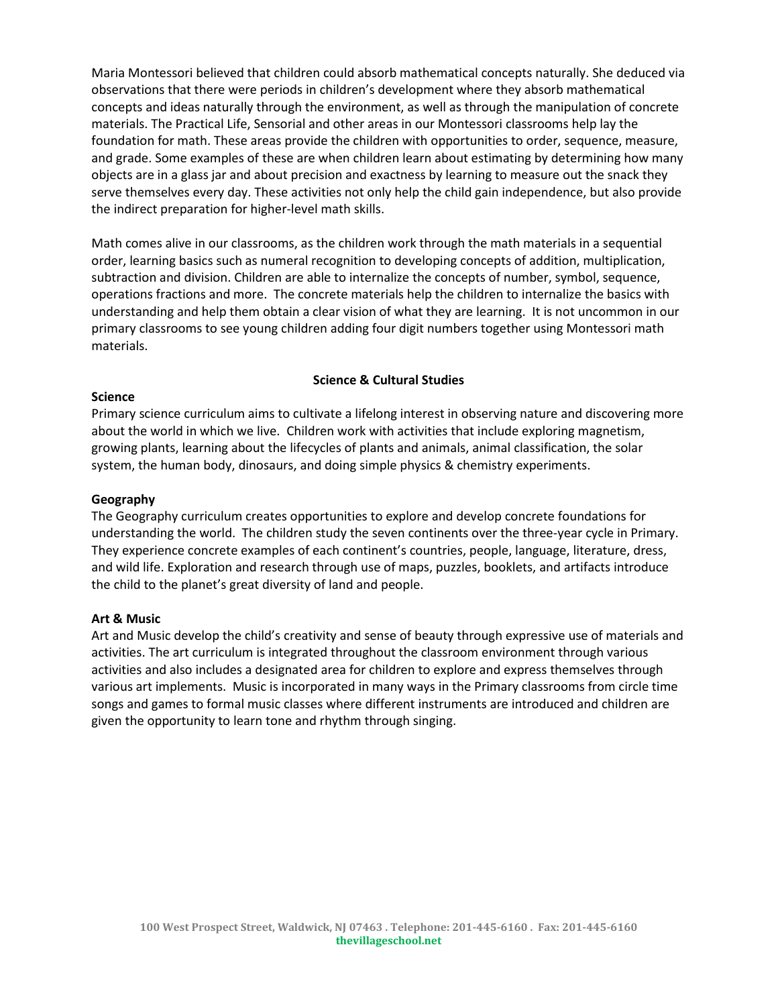Maria Montessori believed that children could absorb mathematical concepts naturally. She deduced via observations that there were periods in children's development where they absorb mathematical concepts and ideas naturally through the environment, as well as through the manipulation of concrete materials. The Practical Life, Sensorial and other areas in our Montessori classrooms help lay the foundation for math. These areas provide the children with opportunities to order, sequence, measure, and grade. Some examples of these are when children learn about estimating by determining how many objects are in a glass jar and about precision and exactness by learning to measure out the snack they serve themselves every day. These activities not only help the child gain independence, but also provide the indirect preparation for higher-level math skills.

Math comes alive in our classrooms, as the children work through the math materials in a sequential order, learning basics such as numeral recognition to developing concepts of addition, multiplication, subtraction and division. Children are able to internalize the concepts of number, symbol, sequence, operations fractions and more. The concrete materials help the children to internalize the basics with understanding and help them obtain a clear vision of what they are learning. It is not uncommon in our primary classrooms to see young children adding four digit numbers together using Montessori math materials.

## **Science & Cultural Studies**

## **Science**

Primary science curriculum aims to cultivate a lifelong interest in observing nature and discovering more about the world in which we live. Children work with activities that include exploring magnetism, growing plants, learning about the lifecycles of plants and animals, animal classification, the solar system, the human body, dinosaurs, and doing simple physics & chemistry experiments.

#### **Geography**

The Geography curriculum creates opportunities to explore and develop concrete foundations for understanding the world. The children study the seven continents over the three-year cycle in Primary. They experience concrete examples of each continent's countries, people, language, literature, dress, and wild life. Exploration and research through use of maps, puzzles, booklets, and artifacts introduce the child to the planet's great diversity of land and people.

## **Art & Music**

Art and Music develop the child's creativity and sense of beauty through expressive use of materials and activities. The art curriculum is integrated throughout the classroom environment through various activities and also includes a designated area for children to explore and express themselves through various art implements. Music is incorporated in many ways in the Primary classrooms from circle time songs and games to formal music classes where different instruments are introduced and children are given the opportunity to learn tone and rhythm through singing.